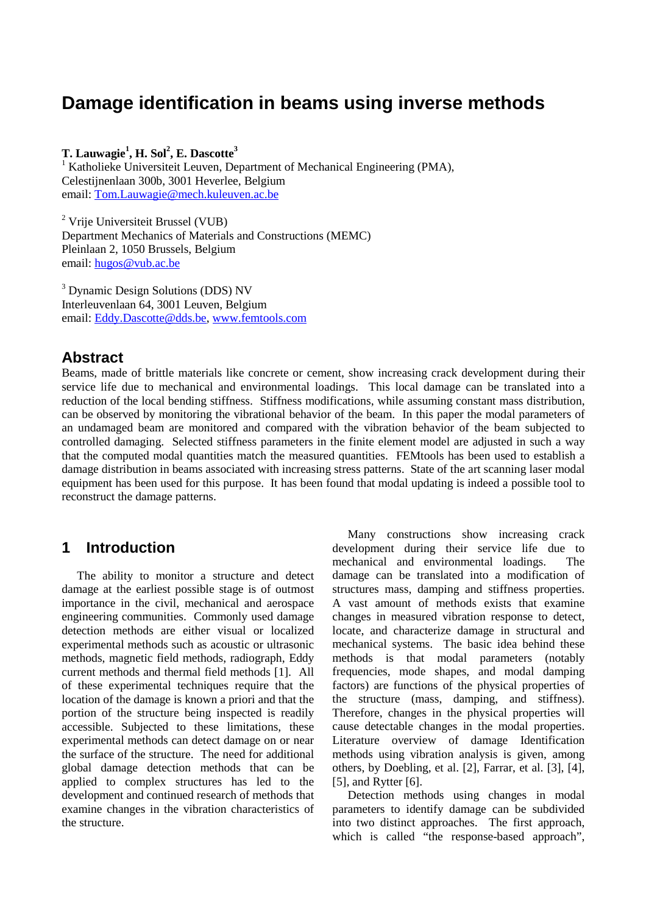# **Damage identification in beams using inverse methods**

## $\bf{T}.$  Lauwagie $^1$ , **H.** Sol $^2$ , **E.** Dascotte $^3$

<sup>1</sup> Katholieke Universiteit Leuven, Department of Mechanical Engineering (PMA), Celestijnenlaan 300b, 3001 Heverlee, Belgium email: Tom.Lauwagie@mech.kuleuven.ac.be

<sup>2</sup> Vrije Universiteit Brussel (VUB) Department Mechanics of Materials and Constructions (MEMC) Pleinlaan 2, 1050 Brussels, Belgium email: hugos@vub.ac.be

<sup>3</sup> Dynamic Design Solutions (DDS) NV Interleuvenlaan 64, 3001 Leuven, Belgium email: Eddy.Dascotte@dds.be, www.femtools.com

## **Abstract**

Beams, made of brittle materials like concrete or cement, show increasing crack development during their service life due to mechanical and environmental loadings. This local damage can be translated into a reduction of the local bending stiffness. Stiffness modifications, while assuming constant mass distribution, can be observed by monitoring the vibrational behavior of the beam. In this paper the modal parameters of an undamaged beam are monitored and compared with the vibration behavior of the beam subjected to controlled damaging. Selected stiffness parameters in the finite element model are adjusted in such a way that the computed modal quantities match the measured quantities. FEMtools has been used to establish a damage distribution in beams associated with increasing stress patterns. State of the art scanning laser modal equipment has been used for this purpose. It has been found that modal updating is indeed a possible tool to reconstruct the damage patterns.

## **1 Introduction**

The ability to monitor a structure and detect damage at the earliest possible stage is of outmost importance in the civil, mechanical and aerospace engineering communities. Commonly used damage detection methods are either visual or localized experimental methods such as acoustic or ultrasonic methods, magnetic field methods, radiograph, Eddy current methods and thermal field methods [1]. All of these experimental techniques require that the location of the damage is known a priori and that the portion of the structure being inspected is readily accessible. Subjected to these limitations, these experimental methods can detect damage on or near the surface of the structure. The need for additional global damage detection methods that can be applied to complex structures has led to the development and continued research of methods that examine changes in the vibration characteristics of the structure.

Many constructions show increasing crack development during their service life due to mechanical and environmental loadings. The damage can be translated into a modification of structures mass, damping and stiffness properties. A vast amount of methods exists that examine changes in measured vibration response to detect, locate, and characterize damage in structural and mechanical systems. The basic idea behind these methods is that modal parameters (notably frequencies, mode shapes, and modal damping factors) are functions of the physical properties of the structure (mass, damping, and stiffness). Therefore, changes in the physical properties will cause detectable changes in the modal properties. Literature overview of damage Identification methods using vibration analysis is given, among others, by Doebling, et al. [2], Farrar, et al. [3], [4], [5], and Rytter [6].

Detection methods using changes in modal parameters to identify damage can be subdivided into two distinct approaches. The first approach, which is called "the response-based approach",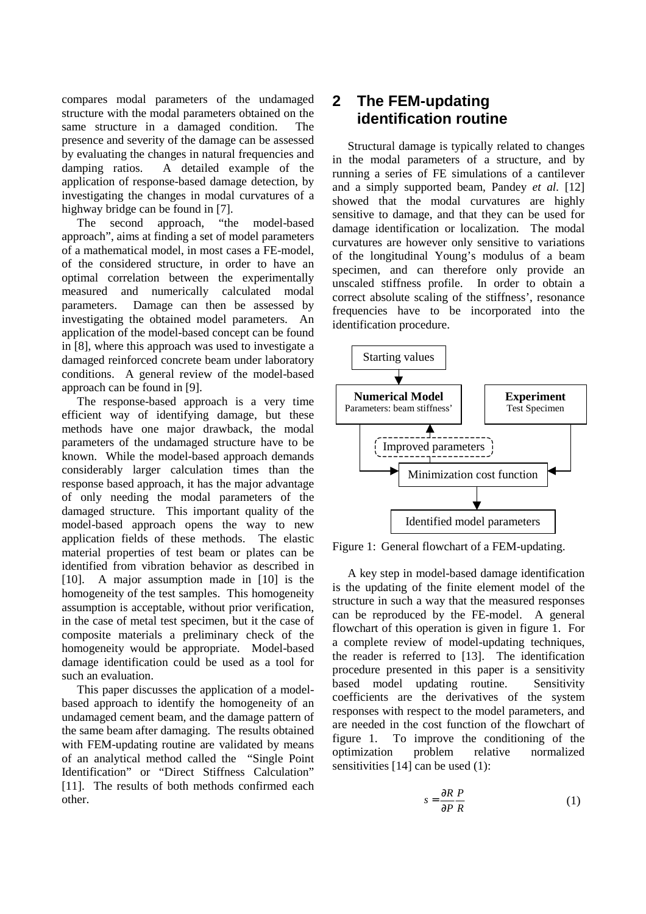compares modal parameters of the undamaged structure with the modal parameters obtained on the same structure in a damaged condition. The presence and severity of the damage can be assessed by evaluating the changes in natural frequencies and damping ratios. A detailed example of the application of response-based damage detection, by investigating the changes in modal curvatures of a highway bridge can be found in [7].

The second approach, "the model-based approach", aims at finding a set of model parameters of a mathematical model, in most cases a FE-model, of the considered structure, in order to have an optimal correlation between the experimentally measured and numerically calculated modal parameters. Damage can then be assessed by investigating the obtained model parameters. An application of the model-based concept can be found in [8], where this approach was used to investigate a damaged reinforced concrete beam under laboratory conditions. A general review of the model-based approach can be found in [9].

The response-based approach is a very time efficient way of identifying damage, but these methods have one major drawback, the modal parameters of the undamaged structure have to be known. While the model-based approach demands considerably larger calculation times than the response based approach, it has the major advantage of only needing the modal parameters of the damaged structure. This important quality of the model-based approach opens the way to new application fields of these methods. The elastic material properties of test beam or plates can be identified from vibration behavior as described in [10]. A major assumption made in [10] is the homogeneity of the test samples. This homogeneity assumption is acceptable, without prior verification, in the case of metal test specimen, but it the case of composite materials a preliminary check of the homogeneity would be appropriate. Model-based damage identification could be used as a tool for such an evaluation.

This paper discusses the application of a modelbased approach to identify the homogeneity of an undamaged cement beam, and the damage pattern of the same beam after damaging. The results obtained with FEM-updating routine are validated by means of an analytical method called the "Single Point Identification" or "Direct Stiffness Calculation" [11]. The results of both methods confirmed each other.

# **2 The FEM-updating identification routine**

Structural damage is typically related to changes in the modal parameters of a structure, and by running a series of FE simulations of a cantilever and a simply supported beam, Pandey *et al.* [12] showed that the modal curvatures are highly sensitive to damage, and that they can be used for damage identification or localization. The modal curvatures are however only sensitive to variations of the longitudinal Young's modulus of a beam specimen, and can therefore only provide an unscaled stiffness profile. In order to obtain a correct absolute scaling of the stiffness', resonance frequencies have to be incorporated into the identification procedure.



Figure 1: General flowchart of a FEM-updating.

A key step in model-based damage identification is the updating of the finite element model of the structure in such a way that the measured responses can be reproduced by the FE-model. A general flowchart of this operation is given in figure 1. For a complete review of model-updating techniques, the reader is referred to [13]. The identification procedure presented in this paper is a sensitivity based model updating routine. Sensitivity coefficients are the derivatives of the system responses with respect to the model parameters, and are needed in the cost function of the flowchart of figure 1. To improve the conditioning of the optimization problem relative normalized sensitivities [14] can be used (1):

$$
s = \frac{\partial R}{\partial P} \frac{P}{R} \tag{1}
$$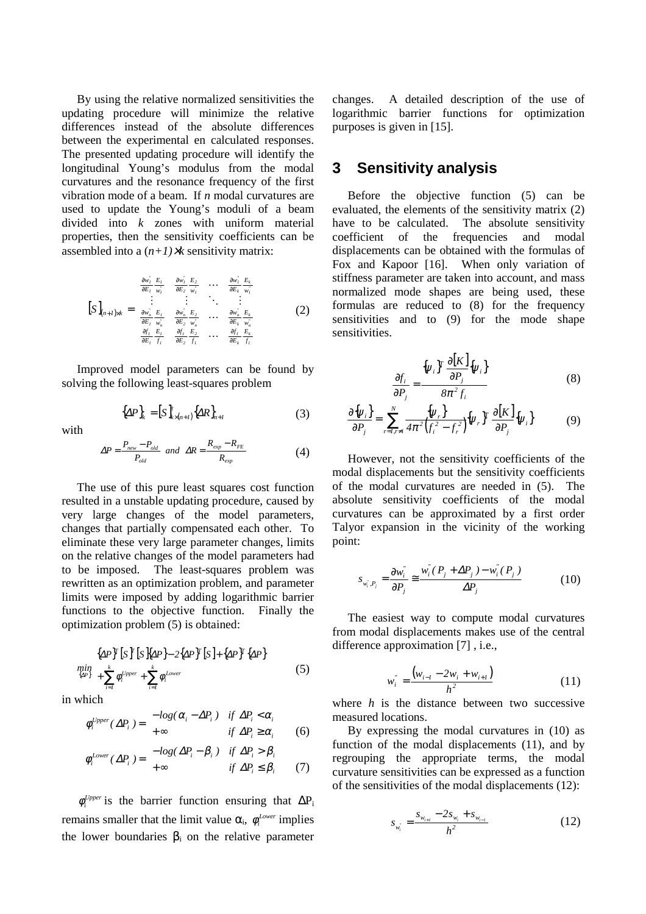By using the relative normalized sensitivities the updating procedure will minimize the relative differences instead of the absolute differences between the experimental en calculated responses. The presented updating procedure will identify the longitudinal Young's modulus from the modal curvatures and the resonance frequency of the first vibration mode of a beam. If *n* modal curvatures are used to update the Young's moduli of a beam divided into *k* zones with uniform material properties, then the sensitivity coefficients can be assembled into a  $(n+1)$ *×k* sensitivity matrix:

$$
\begin{bmatrix}\nS\n\end{bmatrix}_{(n+1)\ltimes k} =\n\begin{bmatrix}\n\frac{\partial w_i}{\partial E_1} \frac{E_1}{w_i} & \frac{\partial w_i}{\partial E_2} \frac{E_2}{w_i} & \cdots & \frac{\partial w_i}{\partial E_k} \frac{E_k}{w_i} \\
\vdots & \vdots & \ddots & \vdots \\
\frac{\partial w_n}{\partial E_1} \frac{E_1}{w_n} & \frac{\partial w_n}{\partial E_2} \frac{E_2}{w_n} & \cdots & \frac{\partial w_n}{\partial E_k} \frac{E_k}{w_n} \\
\frac{\partial f_1}{\partial E_1} \frac{E_1}{f_1} & \frac{\partial f_1}{\partial E_2} \frac{E_2}{f_1} & \cdots & \frac{\partial f_1}{\partial E_k} \frac{E_k}{f_1}\n\end{bmatrix}
$$
\n(2)

Improved model parameters can be found by solving the following least-squares problem

 ${ {\Delta P}_{k} = [S_{k \times (n+1)}^{T} { {\Delta R}_{n+1} }$ 

with

$$
\Delta P = \frac{P_{new} - P_{old}}{P_{old}} \quad and \quad \Delta R = \frac{R_{exp} - R_{FE}}{R_{exp}} \tag{4}
$$

(3)

The use of this pure least squares cost function resulted in a unstable updating procedure, caused by very large changes of the model parameters, changes that partially compensated each other. To eliminate these very large parameter changes, limits on the relative changes of the model parameters had to be imposed. The least-squares problem was rewritten as an optimization problem, and parameter limits were imposed by adding logarithmic barrier functions to the objective function. Finally the optimization problem (5) is obtained:

$$
\min_{\{\Delta P\}} \left\{ \Delta P\right\}^T \left[ S \right] \left\{ \Delta P \right\} - 2 \left\{ \Delta P \right\}^T \left[ S \right] + \left\{ \Delta P \right\}^T \left\{ \Delta P \right\}
$$
\n
$$
\min_{\{\Delta P\}} \left( + \sum_{i=1}^k \phi_i^{\text{Upper}} + \sum_{i=1}^k \phi_i^{\text{Lower}} \right) \tag{5}
$$

in which

$$
\phi_i^{\text{Upper}}(\Delta P_i) = \begin{cases}\n-\log(\alpha_i - \Delta P_i) & \text{if } \Delta P_i < \alpha_i \\
+\infty & \text{if } \Delta P_i \ge \alpha_i\n\end{cases} \tag{6}
$$

$$
\phi_i^{Lower}(\Delta P_i) = \begin{cases}\n-\log(\Delta P_i - \beta_i) & \text{if } \Delta P_i > \beta_i \\
+\infty & \text{if } \Delta P_i \le \beta_i\n\end{cases}
$$
\n(7)

 $\phi_i^{Upper}$  is the barrier function ensuring that  $\Delta P_i$ remains smaller that the limit value  $\alpha_i$ ,  $\phi_i^{Lower}$  implies the lower boundaries  $\beta_i$  on the relative parameter changes. A detailed description of the use of logarithmic barrier functions for optimization purposes is given in [15].

## **3 Sensitivity analysis**

Before the objective function (5) can be evaluated, the elements of the sensitivity matrix (2) have to be calculated. The absolute sensitivity coefficient of the frequencies and modal displacements can be obtained with the formulas of Fox and Kapoor [16]. When only variation of stiffness parameter are taken into account, and mass normalized mode shapes are being used, these formulas are reduced to (8) for the frequency sensitivities and to (9) for the mode shape sensitivities.

$$
\frac{\partial f_i}{\partial P_j} = \frac{\{\psi_i\}^T \frac{\partial [K]}{\partial P_j} \{\psi_i\}}{8\pi^2 f_i}
$$
(8)

$$
\frac{\partial \{\psi_i\}}{\partial P_j} = \sum_{r=1, r \neq i}^{N} \frac{\{\psi_r\}}{4\pi^2 (f_i^2 - f_r^2)} \{\psi_r\}^T \frac{\partial [K]}{\partial P_j} \{\psi_i\}
$$
(9)

However, not the sensitivity coefficients of the modal displacements but the sensitivity coefficients of the modal curvatures are needed in (5). The absolute sensitivity coefficients of the modal curvatures can be approximated by a first order Talyor expansion in the vicinity of the working point:

$$
s_{w_i^*,P_j} = \frac{\partial w_i^*}{\partial P_j} \cong \frac{w_i^*(P_j + \Delta P_j) - w_i^*(P_j)}{\Delta P_j}
$$
(10)

The easiest way to compute modal curvatures from modal displacements makes use of the central difference approximation [7] , i.e.,

$$
w_i^{"} = \frac{(w_{i-1} - 2w_i + w_{i+1})}{h^2}
$$
 (11)

where *h* is the distance between two successive measured locations.

By expressing the modal curvatures in (10) as function of the modal displacements (11), and by regrouping the appropriate terms, the modal curvature sensitivities can be expressed as a function of the sensitivities of the modal displacements (12):

$$
s_{w_i} = \frac{s_{w_{i+1}} - 2s_{w_i} + s_{w_{i-1}}}{h^2}
$$
 (12)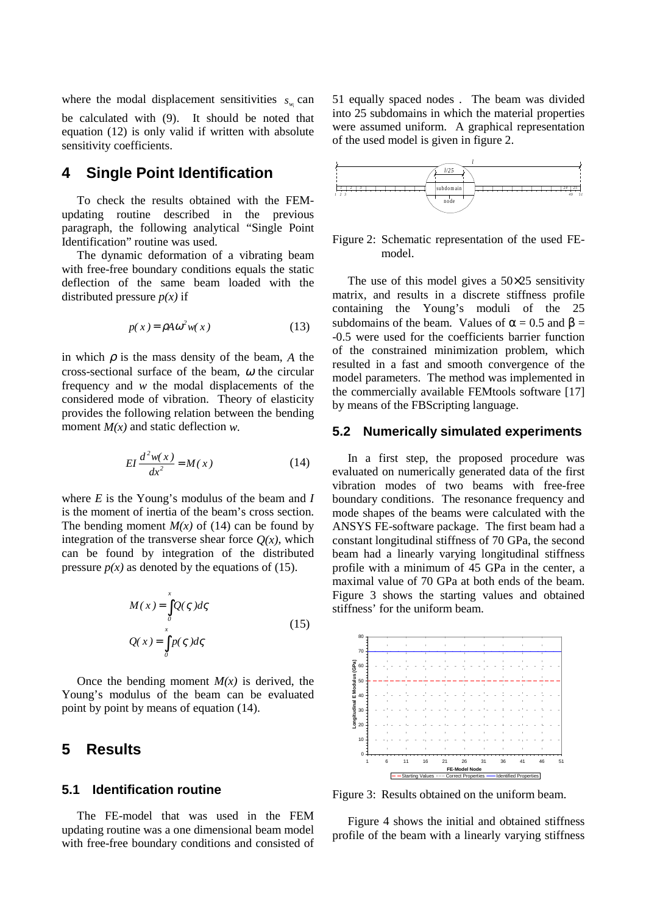where the modal displacement sensitivities  $s_{w_i}$  can be calculated with (9). It should be noted that equation (12) is only valid if written with absolute sensitivity coefficients.

## **4 Single Point Identification**

To check the results obtained with the FEMupdating routine described in the previous paragraph, the following analytical "Single Point Identification" routine was used.

The dynamic deformation of a vibrating beam with free-free boundary conditions equals the static deflection of the same beam loaded with the distributed pressure  $p(x)$  if

$$
p(x) = \rho A \omega^2 w(x)
$$
 (13)

in which  $\rho$  is the mass density of the beam, *A* the cross-sectional surface of the beam,  $\omega$  the circular frequency and *w* the modal displacements of the considered mode of vibration. Theory of elasticity provides the following relation between the bending moment *M(x)* and static deflection *w.*

$$
EI\frac{d^2w(x)}{dx^2} = M(x)
$$
 (14)

where *E* is the Young's modulus of the beam and *I* is the moment of inertia of the beam's cross section. The bending moment  $M(x)$  of (14) can be found by integration of the transverse shear force  $Q(x)$ , which can be found by integration of the distributed pressure  $p(x)$  as denoted by the equations of (15).

$$
M(x) = \int_{0}^{x} Q(\zeta) d\zeta
$$
  
 
$$
Q(x) = \int_{0}^{x} p(\zeta) d\zeta
$$
 (15)

Once the bending moment  $M(x)$  is derived, the Young's modulus of the beam can be evaluated point by point by means of equation (14).

## **5 Results**

#### **5.1 Identification routine**

The FE-model that was used in the FEM updating routine was a one dimensional beam model with free-free boundary conditions and consisted of 51 equally spaced nodes . The beam was divided into 25 subdomains in which the material properties were assumed uniform. A graphical representation of the used model is given in figure 2.



Figure 2: Schematic representation of the used FEmodel.

The use of this model gives a  $50\times25$  sensitivity matrix, and results in a discrete stiffness profile containing the Young's moduli of the 25 subdomains of the beam. Values of  $\alpha = 0.5$  and  $\beta =$ -0.5 were used for the coefficients barrier function of the constrained minimization problem, which resulted in a fast and smooth convergence of the model parameters. The method was implemented in the commercially available FEMtools software [17] by means of the FBScripting language.

#### **5.2 Numerically simulated experiments**

In a first step, the proposed procedure was evaluated on numerically generated data of the first vibration modes of two beams with free-free boundary conditions. The resonance frequency and mode shapes of the beams were calculated with the ANSYS FE-software package. The first beam had a constant longitudinal stiffness of 70 GPa, the second beam had a linearly varying longitudinal stiffness profile with a minimum of 45 GPa in the center, a maximal value of 70 GPa at both ends of the beam. Figure 3 shows the starting values and obtained stiffness' for the uniform beam.



Figure 3: Results obtained on the uniform beam.

Figure 4 shows the initial and obtained stiffness profile of the beam with a linearly varying stiffness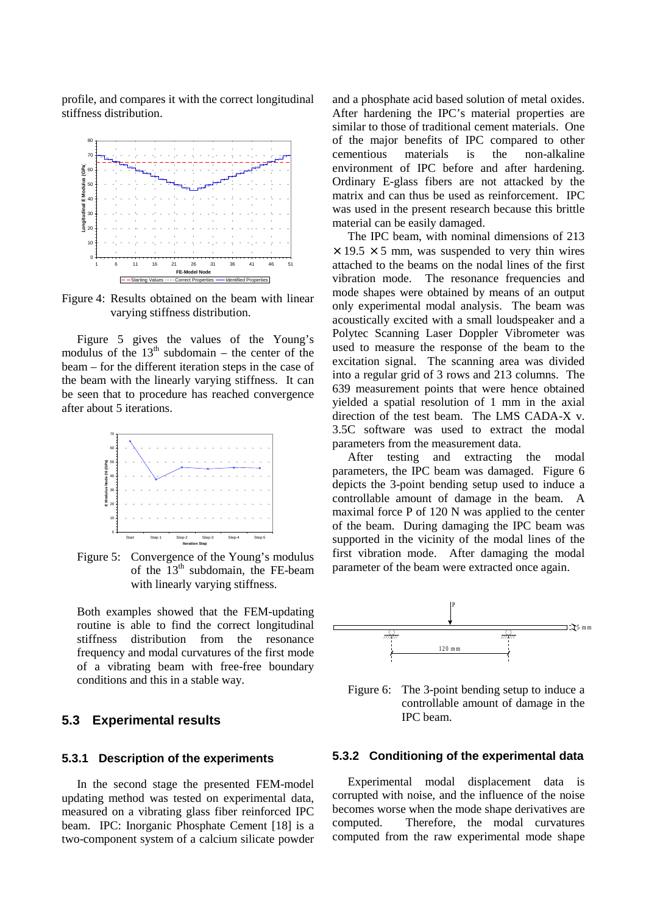profile, and compares it with the correct longitudinal stiffness distribution.



Figure 4: Results obtained on the beam with linear varying stiffness distribution.

Figure 5 gives the values of the Young's modulus of the  $13<sup>th</sup>$  subdomain – the center of the beam – for the different iteration steps in the case of the beam with the linearly varying stiffness. It can be seen that to procedure has reached convergence after about 5 iterations.



Figure 5: Convergence of the Young's modulus of the 13<sup>th</sup> subdomain, the FE-beam with linearly varying stiffness.

Both examples showed that the FEM-updating routine is able to find the correct longitudinal stiffness distribution from the resonance frequency and modal curvatures of the first mode of a vibrating beam with free-free boundary conditions and this in a stable way.

#### **5.3 Experimental results**

#### **5.3.1 Description of the experiments**

In the second stage the presented FEM-model updating method was tested on experimental data, measured on a vibrating glass fiber reinforced IPC beam. IPC: Inorganic Phosphate Cement [18] is a two-component system of a calcium silicate powder and a phosphate acid based solution of metal oxides. After hardening the IPC's material properties are similar to those of traditional cement materials. One of the major benefits of IPC compared to other cementious materials is the non-alkaline environment of IPC before and after hardening. Ordinary E-glass fibers are not attacked by the matrix and can thus be used as reinforcement. IPC was used in the present research because this brittle material can be easily damaged.

The IPC beam, with nominal dimensions of 213  $\times$  19.5  $\times$  5 mm, was suspended to very thin wires attached to the beams on the nodal lines of the first vibration mode. The resonance frequencies and mode shapes were obtained by means of an output only experimental modal analysis. The beam was acoustically excited with a small loudspeaker and a Polytec Scanning Laser Doppler Vibrometer was used to measure the response of the beam to the excitation signal. The scanning area was divided into a regular grid of 3 rows and 213 columns. The 639 measurement points that were hence obtained yielded a spatial resolution of 1 mm in the axial direction of the test beam. The LMS CADA-X v. 3.5C software was used to extract the modal parameters from the measurement data.

After testing and extracting the modal parameters, the IPC beam was damaged. Figure 6 depicts the 3-point bending setup used to induce a controllable amount of damage in the beam. A maximal force P of 120 N was applied to the center of the beam. During damaging the IPC beam was supported in the vicinity of the modal lines of the first vibration mode. After damaging the modal parameter of the beam were extracted once again.



Figure 6: The 3-point bending setup to induce a controllable amount of damage in the IPC beam.

#### **5.3.2 Conditioning of the experimental data**

Experimental modal displacement data is corrupted with noise, and the influence of the noise becomes worse when the mode shape derivatives are computed. Therefore, the modal curvatures computed from the raw experimental mode shape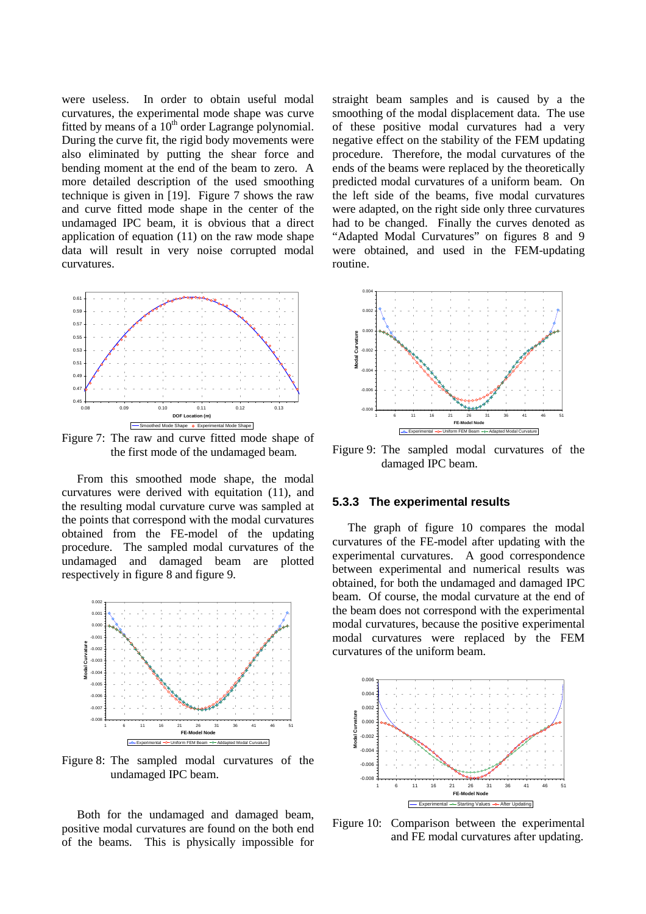were useless. In order to obtain useful modal curvatures, the experimental mode shape was curve fitted by means of a  $10^{th}$  order Lagrange polynomial. During the curve fit, the rigid body movements were also eliminated by putting the shear force and bending moment at the end of the beam to zero. A more detailed description of the used smoothing technique is given in [19]. Figure 7 shows the raw and curve fitted mode shape in the center of the undamaged IPC beam, it is obvious that a direct application of equation (11) on the raw mode shape data will result in very noise corrupted modal curvatures.



Figure 7: The raw and curve fitted mode shape of the first mode of the undamaged beam*.*

From this smoothed mode shape, the modal curvatures were derived with equitation (11), and the resulting modal curvature curve was sampled at the points that correspond with the modal curvatures obtained from the FE-model of the updating procedure. The sampled modal curvatures of the undamaged and damaged beam are plotted respectively in figure 8 and figure 9.



Figure 8: The sampled modal curvatures of the undamaged IPC beam.

Both for the undamaged and damaged beam, positive modal curvatures are found on the both end of the beams. This is physically impossible for straight beam samples and is caused by a the smoothing of the modal displacement data. The use of these positive modal curvatures had a very negative effect on the stability of the FEM updating procedure. Therefore, the modal curvatures of the ends of the beams were replaced by the theoretically predicted modal curvatures of a uniform beam. On the left side of the beams, five modal curvatures were adapted, on the right side only three curvatures had to be changed. Finally the curves denoted as "Adapted Modal Curvatures" on figures 8 and 9 were obtained, and used in the FEM-updating routine.



Figure 9: The sampled modal curvatures of the damaged IPC beam.

#### **5.3.3 The experimental results**

The graph of figure 10 compares the modal curvatures of the FE-model after updating with the experimental curvatures. A good correspondence between experimental and numerical results was obtained, for both the undamaged and damaged IPC beam. Of course, the modal curvature at the end of the beam does not correspond with the experimental modal curvatures, because the positive experimental modal curvatures were replaced by the FEM curvatures of the uniform beam.



Figure 10: Comparison between the experimental and FE modal curvatures after updating.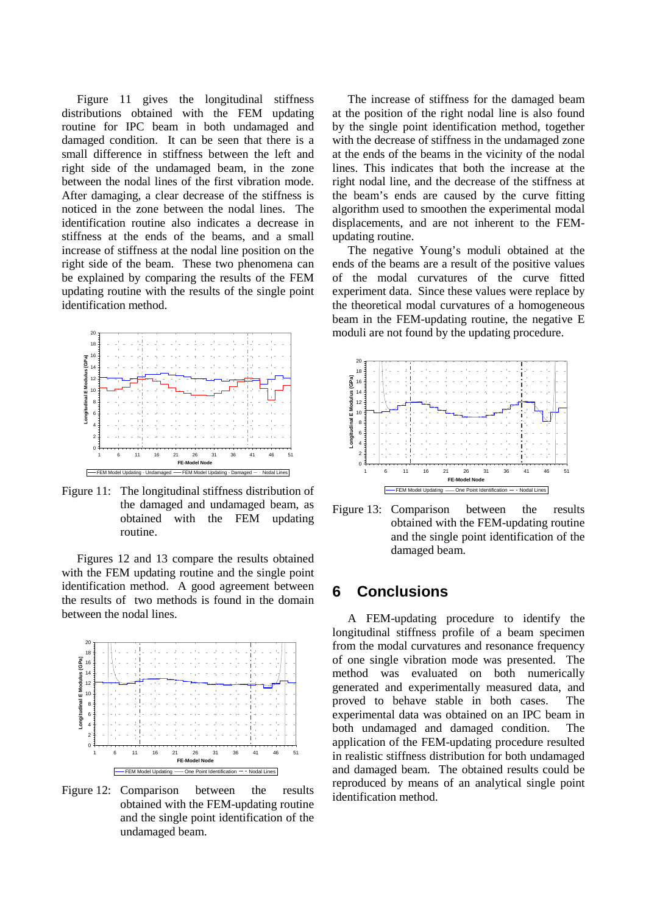Figure 11 gives the longitudinal stiffness distributions obtained with the FEM updating routine for IPC beam in both undamaged and damaged condition. It can be seen that there is a small difference in stiffness between the left and right side of the undamaged beam, in the zone between the nodal lines of the first vibration mode. After damaging, a clear decrease of the stiffness is noticed in the zone between the nodal lines. The identification routine also indicates a decrease in stiffness at the ends of the beams, and a small increase of stiffness at the nodal line position on the right side of the beam. These two phenomena can be explained by comparing the results of the FEM updating routine with the results of the single point identification method.



Figure 11: The longitudinal stiffness distribution of the damaged and undamaged beam, as obtained with the FEM updating routine.

Figures 12 and 13 compare the results obtained with the FEM updating routine and the single point identification method. A good agreement between the results of two methods is found in the domain between the nodal lines.



Figure 12: Comparison between the results obtained with the FEM-updating routine and the single point identification of the undamaged beam.

The increase of stiffness for the damaged beam at the position of the right nodal line is also found by the single point identification method, together with the decrease of stiffness in the undamaged zone at the ends of the beams in the vicinity of the nodal lines. This indicates that both the increase at the right nodal line, and the decrease of the stiffness at the beam's ends are caused by the curve fitting algorithm used to smoothen the experimental modal displacements, and are not inherent to the FEMupdating routine.

The negative Young's moduli obtained at the ends of the beams are a result of the positive values of the modal curvatures of the curve fitted experiment data. Since these values were replace by the theoretical modal curvatures of a homogeneous beam in the FEM-updating routine, the negative E moduli are not found by the updating procedure.



Figure 13: Comparison between the results obtained with the FEM-updating routine and the single point identification of the damaged beam.

# **6 Conclusions**

A FEM-updating procedure to identify the longitudinal stiffness profile of a beam specimen from the modal curvatures and resonance frequency of one single vibration mode was presented. The method was evaluated on both numerically generated and experimentally measured data, and proved to behave stable in both cases. The experimental data was obtained on an IPC beam in both undamaged and damaged condition. The application of the FEM-updating procedure resulted in realistic stiffness distribution for both undamaged and damaged beam. The obtained results could be reproduced by means of an analytical single point identification method.